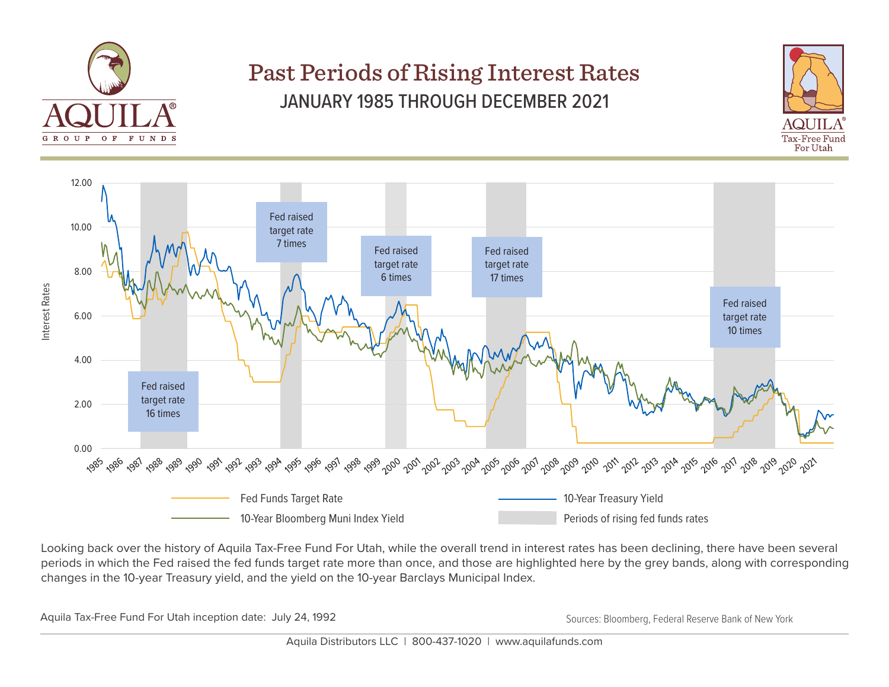

## Past Periods of Rising Interest Rates JANUARY 1985 THROUGH DECEMBER 2021





Looking back over the history of Aquila Tax-Free Fund For Utah, while the overall trend in interest rates has been declining, there have been several periods in which the Fed raised the fed funds target rate more than once, and those are highlighted here by the grey bands, along with corresponding changes in the 10-year Treasury yield, and the yield on the 10-year Barclays Municipal Index.

Aquila Tax-Free Fund For Utah inception date: July 24, 1992 Sources: Bloomberg, Federal Reserve Bank of New York